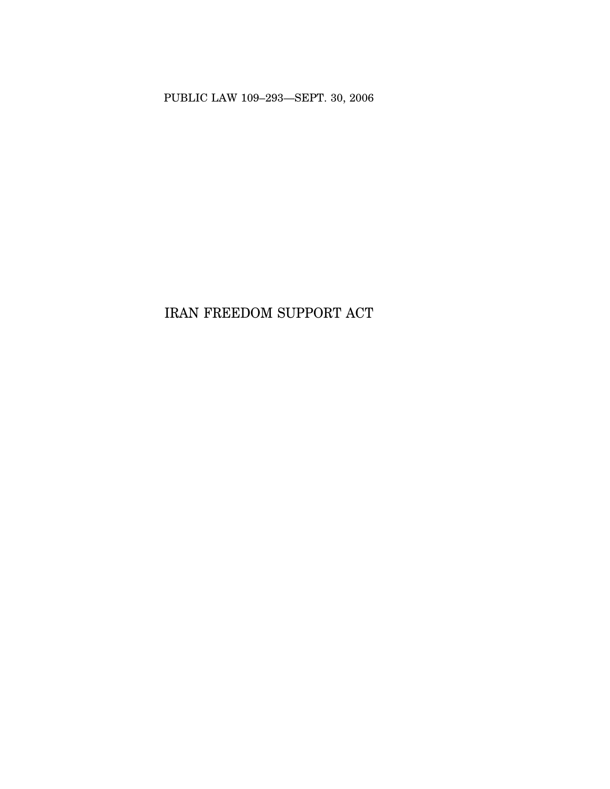PUBLIC LAW 109–293—SEPT. 30, 2006

# IRAN FREEDOM SUPPORT ACT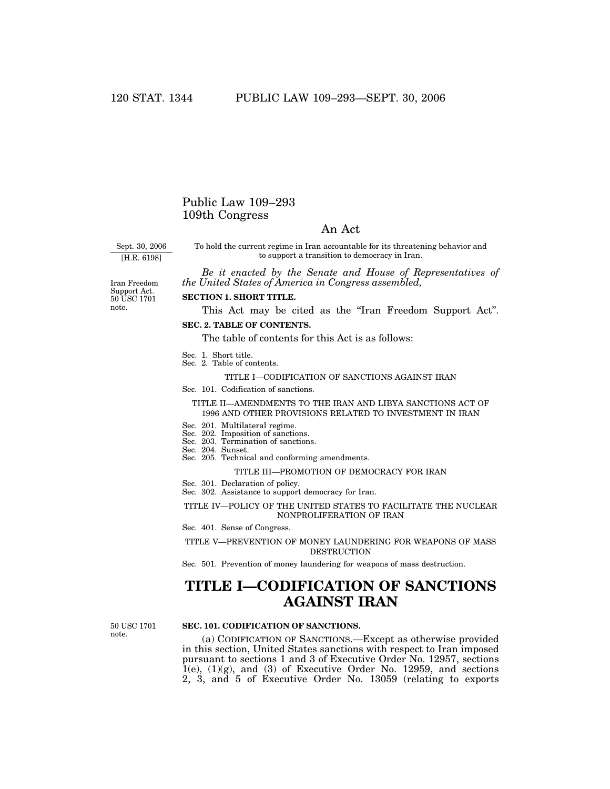### Public Law 109–293 109th Congress

### An Act

Sept. 30, 2006

[H.R. 6198]

To hold the current regime in Iran accountable for its threatening behavior and to support a transition to democracy in Iran.

*Be it enacted by the Senate and House of Representatives of the United States of America in Congress assembled,*

Iran Freedom Support Act. 50 USC 1701 note.

### **SECTION 1. SHORT TITLE.**

This Act may be cited as the "Iran Freedom Support Act".

**SEC. 2. TABLE OF CONTENTS.**

The table of contents for this Act is as follows:

- Sec. 1. Short title.
- Sec. 2. Table of contents.

TITLE I—CODIFICATION OF SANCTIONS AGAINST IRAN

Sec. 101. Codification of sanctions.

#### TITLE II—AMENDMENTS TO THE IRAN AND LIBYA SANCTIONS ACT OF 1996 AND OTHER PROVISIONS RELATED TO INVESTMENT IN IRAN

- Sec. 201. Multilateral regime.
- Sec. 202. Imposition of sanctions.
- Sec. 203. Termination of sanctions.
- Sec. 204. Sunset.
- Sec. 205. Technical and conforming amendments.

#### TITLE III—PROMOTION OF DEMOCRACY FOR IRAN

- Sec. 301. Declaration of policy.
- Sec. 302. Assistance to support democracy for Iran.

#### TITLE IV—POLICY OF THE UNITED STATES TO FACILITATE THE NUCLEAR NONPROLIFERATION OF IRAN

Sec. 401. Sense of Congress.

TITLE V—PREVENTION OF MONEY LAUNDERING FOR WEAPONS OF MASS **DESTRUCTION** 

Sec. 501. Prevention of money laundering for weapons of mass destruction.

## **TITLE I—CODIFICATION OF SANCTIONS AGAINST IRAN**

50 USC 1701 note.

#### **SEC. 101. CODIFICATION OF SANCTIONS.**

(a) CODIFICATION OF SANCTIONS.—Except as otherwise provided in this section, United States sanctions with respect to Iran imposed pursuant to sections 1 and 3 of Executive Order No. 12957, sections  $\hat{1}(e)$ ,  $(1)(g)$ , and  $(3)$  of Executive Order No. 12959, and sections 2, 3, and 5 of Executive Order No. 13059 (relating to exports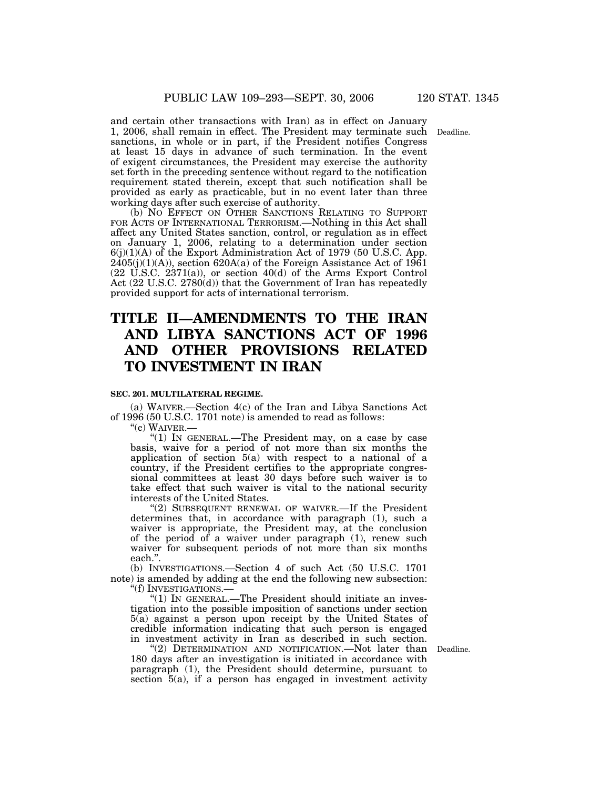Deadline.

and certain other transactions with Iran) as in effect on January 1, 2006, shall remain in effect. The President may terminate such sanctions, in whole or in part, if the President notifies Congress at least 15 days in advance of such termination. In the event of exigent circumstances, the President may exercise the authority set forth in the preceding sentence without regard to the notification requirement stated therein, except that such notification shall be provided as early as practicable, but in no event later than three working days after such exercise of authority.

(b) NO EFFECT ON OTHER SANCTIONS RELATING TO SUPPORT FOR ACTS OF INTERNATIONAL TERRORISM.—Nothing in this Act shall affect any United States sanction, control, or regulation as in effect on January 1, 2006, relating to a determination under section  $6(j)(1)(A)$  of the Export Administration Act of 1979 (50 U.S.C. App.  $2405(j)(1)(A)$ , section  $620A(a)$  of the Foreign Assistance Act of  $1961$  $(22 \text{ U.S.C. } 2371(a))$ , or section  $40(d)$  of the Arms Export Control Act (22 U.S.C. 2780(d)) that the Government of Iran has repeatedly provided support for acts of international terrorism.

## **TITLE II—AMENDMENTS TO THE IRAN AND LIBYA SANCTIONS ACT OF 1996 AND OTHER PROVISIONS RELATED TO INVESTMENT IN IRAN**

#### **SEC. 201. MULTILATERAL REGIME.**

(a) WAIVER.—Section 4(c) of the Iran and Libya Sanctions Act of 1996 (50 U.S.C. 1701 note) is amended to read as follows:

 $\degree$ (c) WAIVER.—

"(1) IN GENERAL.—The President may, on a case by case basis, waive for a period of not more than six months the application of section 5(a) with respect to a national of a country, if the President certifies to the appropriate congressional committees at least 30 days before such waiver is to take effect that such waiver is vital to the national security interests of the United States.

"(2) SUBSEQUENT RENEWAL OF WAIVER.—If the President determines that, in accordance with paragraph (1), such a waiver is appropriate, the President may, at the conclusion of the period of a waiver under paragraph (1), renew such waiver for subsequent periods of not more than six months each.''.

(b) INVESTIGATIONS.—Section 4 of such Act (50 U.S.C. 1701 note) is amended by adding at the end the following new subsection: "(f) INVESTIGATIONS.-

"(1) IN GENERAL.—The President should initiate an investigation into the possible imposition of sanctions under section 5(a) against a person upon receipt by the United States of credible information indicating that such person is engaged in investment activity in Iran as described in such section.

"(2) DETERMINATION AND NOTIFICATION.—Not later than Deadline. 180 days after an investigation is initiated in accordance with paragraph (1), the President should determine, pursuant to section 5(a), if a person has engaged in investment activity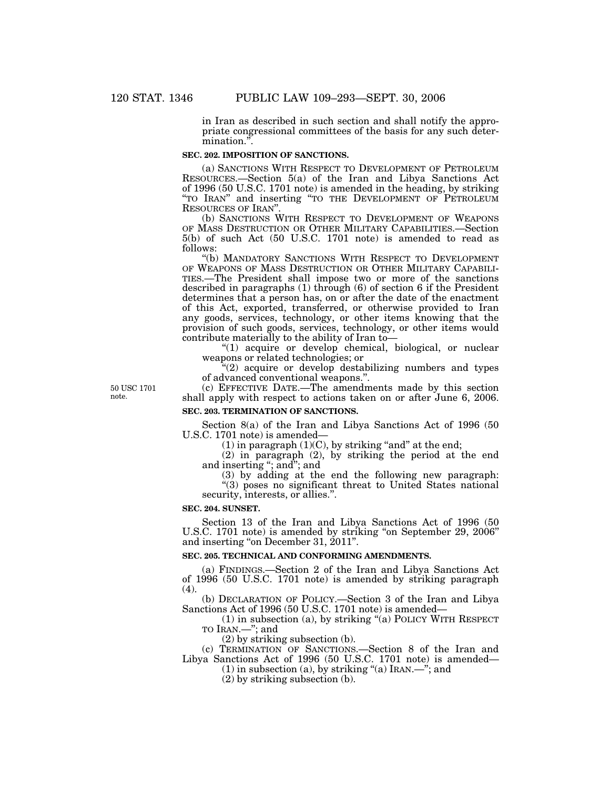in Iran as described in such section and shall notify the appropriate congressional committees of the basis for any such determination.''.

#### **SEC. 202. IMPOSITION OF SANCTIONS.**

(a) SANCTIONS WITH RESPECT TO DEVELOPMENT OF PETROLEUM RESOURCES.—Section 5(a) of the Iran and Libya Sanctions Act of 1996 (50 U.S.C. 1701 note) is amended in the heading, by striking "TO IRAN" and inserting "TO THE DEVELOPMENT OF PETROLEUM RESOURCES OF IRAN''.

(b) SANCTIONS WITH RESPECT TO DEVELOPMENT OF WEAPONS OF MASS DESTRUCTION OR OTHER MILITARY CAPABILITIES.—Section 5(b) of such Act (50 U.S.C. 1701 note) is amended to read as follows:

''(b) MANDATORY SANCTIONS WITH RESPECT TO DEVELOPMENT OF WEAPONS OF MASS DESTRUCTION OR OTHER MILITARY CAPABILI-TIES.—The President shall impose two or more of the sanctions described in paragraphs (1) through (6) of section 6 if the President determines that a person has, on or after the date of the enactment of this Act, exported, transferred, or otherwise provided to Iran any goods, services, technology, or other items knowing that the provision of such goods, services, technology, or other items would contribute materially to the ability of Iran to—

"(1) acquire or develop chemical, biological, or nuclear weapons or related technologies; or

''(2) acquire or develop destabilizing numbers and types of advanced conventional weapons.''.

50 USC 1701 note.

(c) EFFECTIVE DATE.—The amendments made by this section shall apply with respect to actions taken on or after June 6, 2006.

#### **SEC. 203. TERMINATION OF SANCTIONS.**

Section 8(a) of the Iran and Libya Sanctions Act of 1996 (50 U.S.C. 1701 note) is amended—

 $(1)$  in paragraph  $(1)(C)$ , by striking "and" at the end;

(2) in paragraph (2), by striking the period at the end and inserting ''; and''; and

(3) by adding at the end the following new paragraph:

''(3) poses no significant threat to United States national security, interests, or allies.''.

**SEC. 204. SUNSET.**

Section 13 of the Iran and Libya Sanctions Act of 1996 (50 U.S.C. 1701 note) is amended by striking "on September 29, 2006" and inserting "on December 31, 2011".

#### **SEC. 205. TECHNICAL AND CONFORMING AMENDMENTS.**

(a) FINDINGS.—Section 2 of the Iran and Libya Sanctions Act of 1996 (50 U.S.C. 1701 note) is amended by striking paragraph  $(4)$ .

(b) DECLARATION OF POLICY.—Section 3 of the Iran and Libya Sanctions Act of 1996 (50 U.S.C. 1701 note) is amended—

(1) in subsection (a), by striking ''(a) POLICY WITH RESPECT TO IRAN.—''; and

(2) by striking subsection (b).

(c) TERMINATION OF SANCTIONS.—Section 8 of the Iran and Libya Sanctions Act of 1996 (50 U.S.C. 1701 note) is amended—

(1) in subsection (a), by striking "(a) IRAN.—"; and

(2) by striking subsection (b).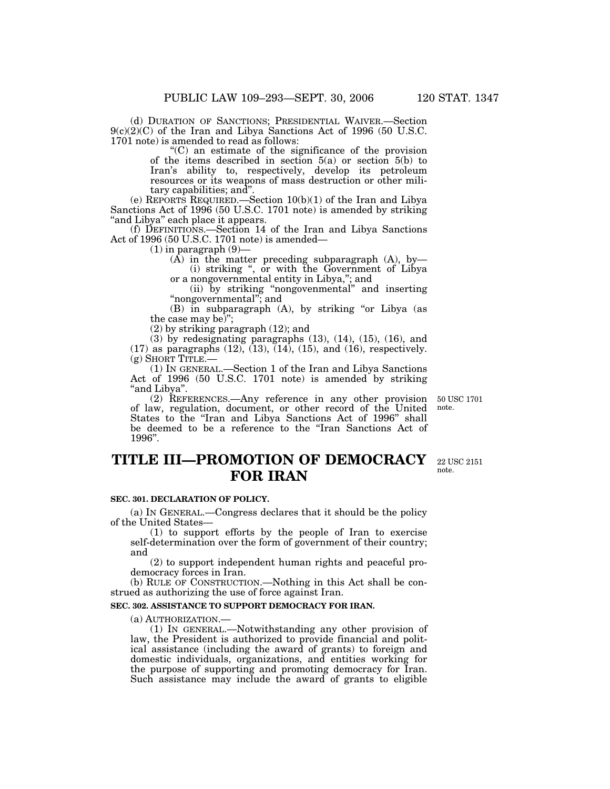(d) DURATION OF SANCTIONS; PRESIDENTIAL WAIVER.—Section 9(c)(2)(C) of the Iran and Libya Sanctions Act of 1996 (50 U.S.C. 1701 note) is amended to read as follows:

''(C) an estimate of the significance of the provision of the items described in section  $5(a)$  or section  $5(b)$  to Iran's ability to, respectively, develop its petroleum resources or its weapons of mass destruction or other military capabilities; and''.

(e) REPORTS REQUIRED.—Section 10(b)(1) of the Iran and Libya Sanctions Act of 1996 (50 U.S.C. 1701 note) is amended by striking "and Libya" each place it appears.

(f) DEFINITIONS.—Section 14 of the Iran and Libya Sanctions Act of 1996 (50 U.S.C. 1701 note) is amended—

 $(1)$  in paragraph  $(9)$ 

 $(A)$  in the matter preceding subparagraph  $(A)$ , by (i) striking '', or with the Government of Libya

or a nongovernmental entity in Libya,''; and (ii) by striking ''nongovenmental'' and inserting ''nongovernmental''; and

(B) in subparagraph (A), by striking "or Libya (as the case may be)'';

(2) by striking paragraph (12); and

(3) by redesignating paragraphs (13), (14), (15), (16), and  $(17)$  as paragraphs  $(12)$ ,  $(13)$ ,  $(14)$ ,  $(15)$ , and  $(16)$ , respectively.

(g) SHORT TITLE.— (1) IN GENERAL.—Section 1 of the Iran and Libya Sanctions Act of 1996 (50 U.S.C. 1701 note) is amended by striking "and Libya".

(2) REFERENCES.—Any reference in any other provision of law, regulation, document, or other record of the United States to the ''Iran and Libya Sanctions Act of 1996'' shall be deemed to be a reference to the ''Iran Sanctions Act of 1996''.

## **TITLE III—PROMOTION OF DEMOCRACY FOR IRAN**

#### **SEC. 301. DECLARATION OF POLICY.**

(a) IN GENERAL.—Congress declares that it should be the policy of the United States—

(1) to support efforts by the people of Iran to exercise self-determination over the form of government of their country; and

(2) to support independent human rights and peaceful prodemocracy forces in Iran.

(b) RULE OF CONSTRUCTION.—Nothing in this Act shall be construed as authorizing the use of force against Iran.

#### **SEC. 302. ASSISTANCE TO SUPPORT DEMOCRACY FOR IRAN.**

(a) AUTHORIZATION.— (1) IN GENERAL.—Notwithstanding any other provision of law, the President is authorized to provide financial and political assistance (including the award of grants) to foreign and domestic individuals, organizations, and entities working for the purpose of supporting and promoting democracy for Iran. Such assistance may include the award of grants to eligible

50 USC 1701 note.

22 USC 2151 note.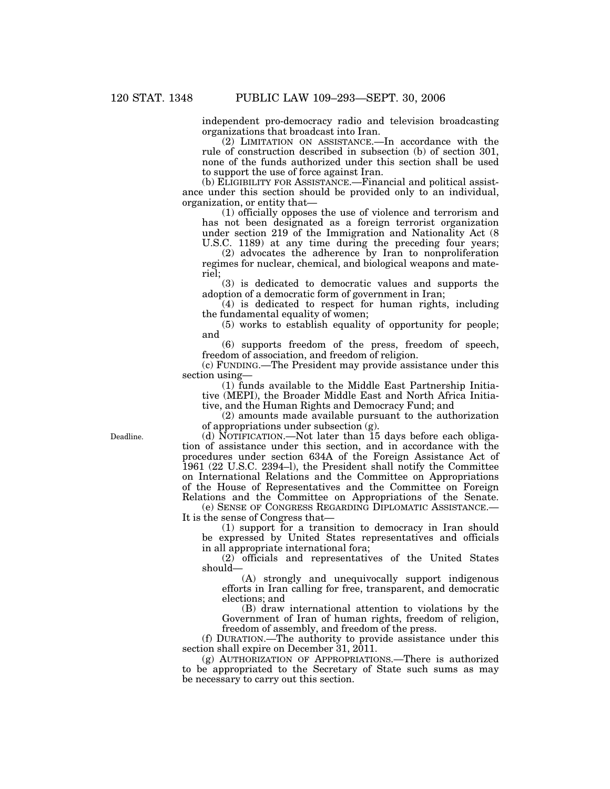independent pro-democracy radio and television broadcasting organizations that broadcast into Iran.

(2) LIMITATION ON ASSISTANCE.—In accordance with the rule of construction described in subsection (b) of section 301, none of the funds authorized under this section shall be used to support the use of force against Iran.

(b) ELIGIBILITY FOR ASSISTANCE.—Financial and political assistance under this section should be provided only to an individual, organization, or entity that—

(1) officially opposes the use of violence and terrorism and has not been designated as a foreign terrorist organization under section 219 of the Immigration and Nationality Act (8 U.S.C. 1189) at any time during the preceding four years;

(2) advocates the adherence by Iran to nonproliferation regimes for nuclear, chemical, and biological weapons and materiel;

(3) is dedicated to democratic values and supports the adoption of a democratic form of government in Iran;

 $(4)$  is dedicated to respect for human rights, including the fundamental equality of women;

(5) works to establish equality of opportunity for people; and

(6) supports freedom of the press, freedom of speech, freedom of association, and freedom of religion.

(c) FUNDING.—The President may provide assistance under this section using—

(1) funds available to the Middle East Partnership Initiative (MEPI), the Broader Middle East and North Africa Initiative, and the Human Rights and Democracy Fund; and

(2) amounts made available pursuant to the authorization of appropriations under subsection (g).

(d) NOTIFICATION.—Not later than 15 days before each obligation of assistance under this section, and in accordance with the procedures under section 634A of the Foreign Assistance Act of 1961 (22 U.S.C. 2394–l), the President shall notify the Committee on International Relations and the Committee on Appropriations of the House of Representatives and the Committee on Foreign Relations and the Committee on Appropriations of the Senate.

(e) SENSE OF CONGRESS REGARDING DIPLOMATIC ASSISTANCE.— It is the sense of Congress that—

(1) support for a transition to democracy in Iran should be expressed by United States representatives and officials in all appropriate international fora;

(2) officials and representatives of the United States should—

(A) strongly and unequivocally support indigenous efforts in Iran calling for free, transparent, and democratic elections; and

(B) draw international attention to violations by the Government of Iran of human rights, freedom of religion, freedom of assembly, and freedom of the press.

(f) DURATION.—The authority to provide assistance under this section shall expire on December 31, 2011.

(g) AUTHORIZATION OF APPROPRIATIONS.—There is authorized to be appropriated to the Secretary of State such sums as may be necessary to carry out this section.

Deadline.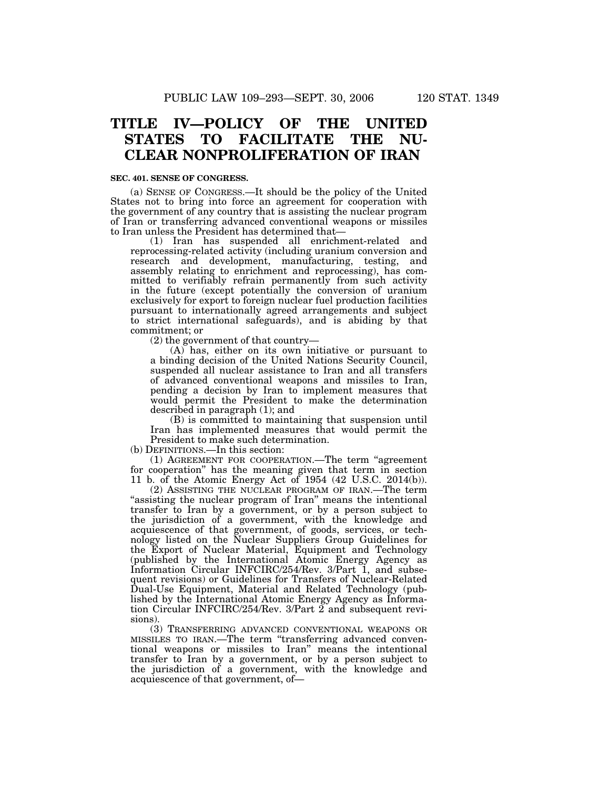## **TITLE IV—POLICY OF THE UNITED STATES TO FACILITATE THE NU-CLEAR NONPROLIFERATION OF IRAN**

#### **SEC. 401. SENSE OF CONGRESS.**

(a) SENSE OF CONGRESS.—It should be the policy of the United States not to bring into force an agreement for cooperation with the government of any country that is assisting the nuclear program of Iran or transferring advanced conventional weapons or missiles to Iran unless the President has determined that—

(1) Iran has suspended all enrichment-related and reprocessing-related activity (including uranium conversion and research and development, manufacturing, testing, and assembly relating to enrichment and reprocessing), has committed to verifiably refrain permanently from such activity in the future (except potentially the conversion of uranium exclusively for export to foreign nuclear fuel production facilities pursuant to internationally agreed arrangements and subject to strict international safeguards), and is abiding by that commitment; or

(2) the government of that country—

(A) has, either on its own initiative or pursuant to a binding decision of the United Nations Security Council, suspended all nuclear assistance to Iran and all transfers of advanced conventional weapons and missiles to Iran, pending a decision by Iran to implement measures that would permit the President to make the determination described in paragraph (1); and

(B) is committed to maintaining that suspension until Iran has implemented measures that would permit the President to make such determination.

(b) DEFINITIONS.—In this section:

(1) AGREEMENT FOR COOPERATION.—The term ''agreement for cooperation'' has the meaning given that term in section 11 b. of the Atomic Energy Act of 1954 (42 U.S.C. 2014(b)).

(2) ASSISTING THE NUCLEAR PROGRAM OF IRAN.—The term "assisting the nuclear program of Iran" means the intentional transfer to Iran by a government, or by a person subject to the jurisdiction of a government, with the knowledge and acquiescence of that government, of goods, services, or technology listed on the Nuclear Suppliers Group Guidelines for the Export of Nuclear Material, Equipment and Technology (published by the International Atomic Energy Agency as Information Circular INFCIRC/254/Rev. 3/Part 1, and subsequent revisions) or Guidelines for Transfers of Nuclear-Related Dual-Use Equipment, Material and Related Technology (published by the International Atomic Energy Agency as Information Circular INFCIRC/254/Rev. 3/Part 2 and subsequent revisions).

(3) TRANSFERRING ADVANCED CONVENTIONAL WEAPONS OR MISSILES TO IRAN.—The term ''transferring advanced conventional weapons or missiles to Iran'' means the intentional transfer to Iran by a government, or by a person subject to the jurisdiction of a government, with the knowledge and acquiescence of that government, of